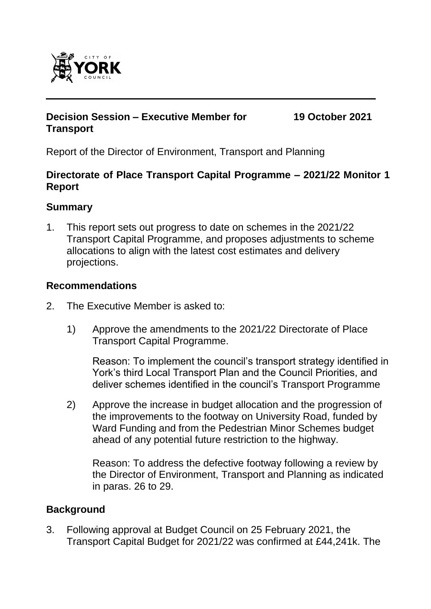

## **Decision Session – Executive Member for Transport**

**19 October 2021**

Report of the Director of Environment, Transport and Planning

## **Directorate of Place Transport Capital Programme – 2021/22 Monitor 1 Report**

## **Summary**

1. This report sets out progress to date on schemes in the 2021/22 Transport Capital Programme, and proposes adjustments to scheme allocations to align with the latest cost estimates and delivery projections.

# **Recommendations**

- 2. The Executive Member is asked to:
	- 1) Approve the amendments to the 2021/22 Directorate of Place Transport Capital Programme.

Reason: To implement the council's transport strategy identified in York's third Local Transport Plan and the Council Priorities, and deliver schemes identified in the council's Transport Programme

2) Approve the increase in budget allocation and the progression of the improvements to the footway on University Road, funded by Ward Funding and from the Pedestrian Minor Schemes budget ahead of any potential future restriction to the highway.

Reason: To address the defective footway following a review by the Director of Environment, Transport and Planning as indicated in paras. 26 to 29.

#### **Background**

3. Following approval at Budget Council on 25 February 2021, the Transport Capital Budget for 2021/22 was confirmed at £44,241k. The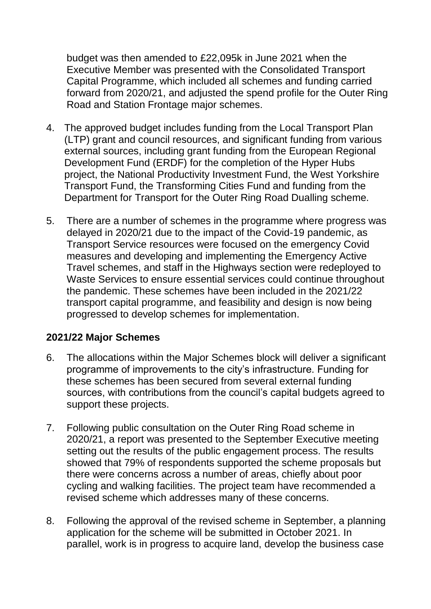budget was then amended to £22,095k in June 2021 when the Executive Member was presented with the Consolidated Transport Capital Programme, which included all schemes and funding carried forward from 2020/21, and adjusted the spend profile for the Outer Ring Road and Station Frontage major schemes.

- 4. The approved budget includes funding from the Local Transport Plan (LTP) grant and council resources, and significant funding from various external sources, including grant funding from the European Regional Development Fund (ERDF) for the completion of the Hyper Hubs project, the National Productivity Investment Fund, the West Yorkshire Transport Fund, the Transforming Cities Fund and funding from the Department for Transport for the Outer Ring Road Dualling scheme.
- 5. There are a number of schemes in the programme where progress was delayed in 2020/21 due to the impact of the Covid-19 pandemic, as Transport Service resources were focused on the emergency Covid measures and developing and implementing the Emergency Active Travel schemes, and staff in the Highways section were redeployed to Waste Services to ensure essential services could continue throughout the pandemic. These schemes have been included in the 2021/22 transport capital programme, and feasibility and design is now being progressed to develop schemes for implementation.

#### **2021/22 Major Schemes**

- 6. The allocations within the Major Schemes block will deliver a significant programme of improvements to the city's infrastructure. Funding for these schemes has been secured from several external funding sources, with contributions from the council's capital budgets agreed to support these projects.
- 7. Following public consultation on the Outer Ring Road scheme in 2020/21, a report was presented to the September Executive meeting setting out the results of the public engagement process. The results showed that 79% of respondents supported the scheme proposals but there were concerns across a number of areas, chiefly about poor cycling and walking facilities. The project team have recommended a revised scheme which addresses many of these concerns.
- 8. Following the approval of the revised scheme in September, a planning application for the scheme will be submitted in October 2021. In parallel, work is in progress to acquire land, develop the business case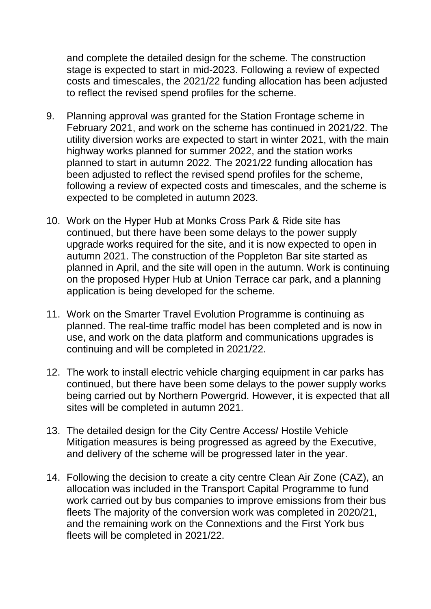and complete the detailed design for the scheme. The construction stage is expected to start in mid-2023. Following a review of expected costs and timescales, the 2021/22 funding allocation has been adjusted to reflect the revised spend profiles for the scheme.

- 9. Planning approval was granted for the Station Frontage scheme in February 2021, and work on the scheme has continued in 2021/22. The utility diversion works are expected to start in winter 2021, with the main highway works planned for summer 2022, and the station works planned to start in autumn 2022. The 2021/22 funding allocation has been adjusted to reflect the revised spend profiles for the scheme, following a review of expected costs and timescales, and the scheme is expected to be completed in autumn 2023.
- 10. Work on the Hyper Hub at Monks Cross Park & Ride site has continued, but there have been some delays to the power supply upgrade works required for the site, and it is now expected to open in autumn 2021. The construction of the Poppleton Bar site started as planned in April, and the site will open in the autumn. Work is continuing on the proposed Hyper Hub at Union Terrace car park, and a planning application is being developed for the scheme.
- 11. Work on the Smarter Travel Evolution Programme is continuing as planned. The real-time traffic model has been completed and is now in use, and work on the data platform and communications upgrades is continuing and will be completed in 2021/22.
- 12. The work to install electric vehicle charging equipment in car parks has continued, but there have been some delays to the power supply works being carried out by Northern Powergrid. However, it is expected that all sites will be completed in autumn 2021.
- 13. The detailed design for the City Centre Access/ Hostile Vehicle Mitigation measures is being progressed as agreed by the Executive, and delivery of the scheme will be progressed later in the year.
- 14. Following the decision to create a city centre Clean Air Zone (CAZ), an allocation was included in the Transport Capital Programme to fund work carried out by bus companies to improve emissions from their bus fleets The majority of the conversion work was completed in 2020/21, and the remaining work on the Connextions and the First York bus fleets will be completed in 2021/22.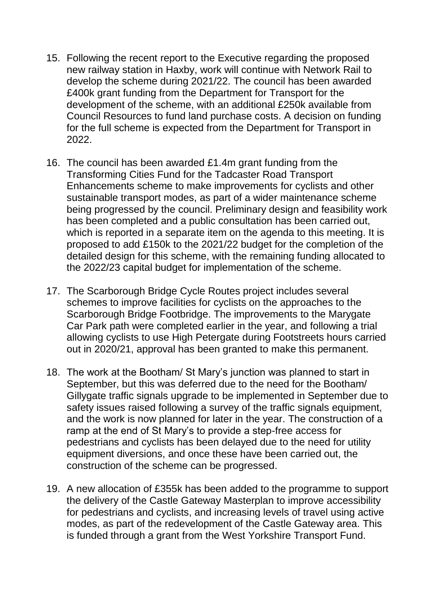- 15. Following the recent report to the Executive regarding the proposed new railway station in Haxby, work will continue with Network Rail to develop the scheme during 2021/22. The council has been awarded £400k grant funding from the Department for Transport for the development of the scheme, with an additional £250k available from Council Resources to fund land purchase costs. A decision on funding for the full scheme is expected from the Department for Transport in 2022.
- 16. The council has been awarded £1.4m grant funding from the Transforming Cities Fund for the Tadcaster Road Transport Enhancements scheme to make improvements for cyclists and other sustainable transport modes, as part of a wider maintenance scheme being progressed by the council. Preliminary design and feasibility work has been completed and a public consultation has been carried out, which is reported in a separate item on the agenda to this meeting. It is proposed to add £150k to the 2021/22 budget for the completion of the detailed design for this scheme, with the remaining funding allocated to the 2022/23 capital budget for implementation of the scheme.
- 17. The Scarborough Bridge Cycle Routes project includes several schemes to improve facilities for cyclists on the approaches to the Scarborough Bridge Footbridge. The improvements to the Marygate Car Park path were completed earlier in the year, and following a trial allowing cyclists to use High Petergate during Footstreets hours carried out in 2020/21, approval has been granted to make this permanent.
- 18. The work at the Bootham/ St Mary's junction was planned to start in September, but this was deferred due to the need for the Bootham/ Gillygate traffic signals upgrade to be implemented in September due to safety issues raised following a survey of the traffic signals equipment, and the work is now planned for later in the year. The construction of a ramp at the end of St Mary's to provide a step-free access for pedestrians and cyclists has been delayed due to the need for utility equipment diversions, and once these have been carried out, the construction of the scheme can be progressed.
- 19. A new allocation of £355k has been added to the programme to support the delivery of the Castle Gateway Masterplan to improve accessibility for pedestrians and cyclists, and increasing levels of travel using active modes, as part of the redevelopment of the Castle Gateway area. This is funded through a grant from the West Yorkshire Transport Fund.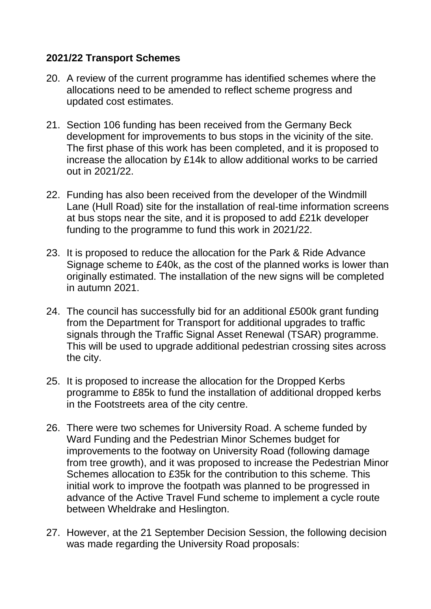## **2021/22 Transport Schemes**

- 20. A review of the current programme has identified schemes where the allocations need to be amended to reflect scheme progress and updated cost estimates.
- 21. Section 106 funding has been received from the Germany Beck development for improvements to bus stops in the vicinity of the site. The first phase of this work has been completed, and it is proposed to increase the allocation by £14k to allow additional works to be carried out in 2021/22.
- 22. Funding has also been received from the developer of the Windmill Lane (Hull Road) site for the installation of real-time information screens at bus stops near the site, and it is proposed to add £21k developer funding to the programme to fund this work in 2021/22.
- 23. It is proposed to reduce the allocation for the Park & Ride Advance Signage scheme to £40k, as the cost of the planned works is lower than originally estimated. The installation of the new signs will be completed in autumn 2021.
- 24. The council has successfully bid for an additional £500k grant funding from the Department for Transport for additional upgrades to traffic signals through the Traffic Signal Asset Renewal (TSAR) programme. This will be used to upgrade additional pedestrian crossing sites across the city.
- 25. It is proposed to increase the allocation for the Dropped Kerbs programme to £85k to fund the installation of additional dropped kerbs in the Footstreets area of the city centre.
- 26. There were two schemes for University Road. A scheme funded by Ward Funding and the Pedestrian Minor Schemes budget for improvements to the footway on University Road (following damage from tree growth), and it was proposed to increase the Pedestrian Minor Schemes allocation to £35k for the contribution to this scheme. This initial work to improve the footpath was planned to be progressed in advance of the Active Travel Fund scheme to implement a cycle route between Wheldrake and Heslington.
- 27. However, at the 21 September Decision Session, the following decision was made regarding the University Road proposals: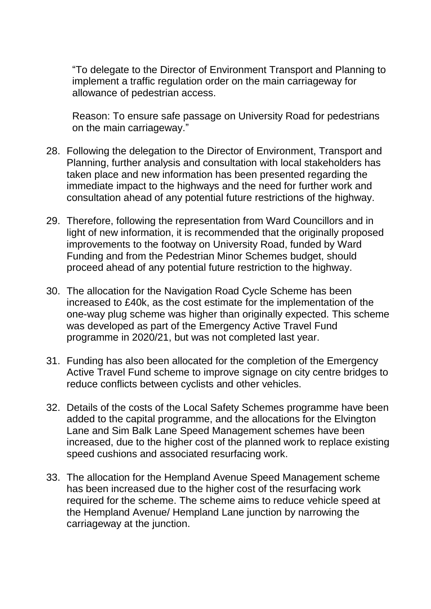"To delegate to the Director of Environment Transport and Planning to implement a traffic regulation order on the main carriageway for allowance of pedestrian access.

Reason: To ensure safe passage on University Road for pedestrians on the main carriageway."

- 28. Following the delegation to the Director of Environment, Transport and Planning, further analysis and consultation with local stakeholders has taken place and new information has been presented regarding the immediate impact to the highways and the need for further work and consultation ahead of any potential future restrictions of the highway.
- 29. Therefore, following the representation from Ward Councillors and in light of new information, it is recommended that the originally proposed improvements to the footway on University Road, funded by Ward Funding and from the Pedestrian Minor Schemes budget, should proceed ahead of any potential future restriction to the highway.
- 30. The allocation for the Navigation Road Cycle Scheme has been increased to £40k, as the cost estimate for the implementation of the one-way plug scheme was higher than originally expected. This scheme was developed as part of the Emergency Active Travel Fund programme in 2020/21, but was not completed last year.
- 31. Funding has also been allocated for the completion of the Emergency Active Travel Fund scheme to improve signage on city centre bridges to reduce conflicts between cyclists and other vehicles.
- 32. Details of the costs of the Local Safety Schemes programme have been added to the capital programme, and the allocations for the Elvington Lane and Sim Balk Lane Speed Management schemes have been increased, due to the higher cost of the planned work to replace existing speed cushions and associated resurfacing work.
- 33. The allocation for the Hempland Avenue Speed Management scheme has been increased due to the higher cost of the resurfacing work required for the scheme. The scheme aims to reduce vehicle speed at the Hempland Avenue/ Hempland Lane junction by narrowing the carriageway at the junction.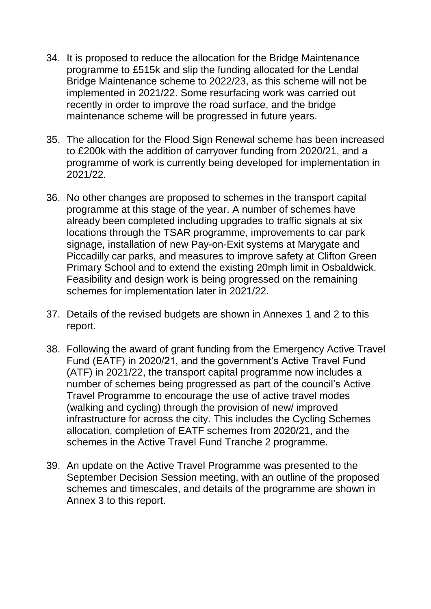- 34. It is proposed to reduce the allocation for the Bridge Maintenance programme to £515k and slip the funding allocated for the Lendal Bridge Maintenance scheme to 2022/23, as this scheme will not be implemented in 2021/22. Some resurfacing work was carried out recently in order to improve the road surface, and the bridge maintenance scheme will be progressed in future years.
- 35. The allocation for the Flood Sign Renewal scheme has been increased to £200k with the addition of carryover funding from 2020/21, and a programme of work is currently being developed for implementation in 2021/22.
- 36. No other changes are proposed to schemes in the transport capital programme at this stage of the year. A number of schemes have already been completed including upgrades to traffic signals at six locations through the TSAR programme, improvements to car park signage, installation of new Pay-on-Exit systems at Marygate and Piccadilly car parks, and measures to improve safety at Clifton Green Primary School and to extend the existing 20mph limit in Osbaldwick. Feasibility and design work is being progressed on the remaining schemes for implementation later in 2021/22.
- 37. Details of the revised budgets are shown in Annexes 1 and 2 to this report.
- 38. Following the award of grant funding from the Emergency Active Travel Fund (EATF) in 2020/21, and the government's Active Travel Fund (ATF) in 2021/22, the transport capital programme now includes a number of schemes being progressed as part of the council's Active Travel Programme to encourage the use of active travel modes (walking and cycling) through the provision of new/ improved infrastructure for across the city. This includes the Cycling Schemes allocation, completion of EATF schemes from 2020/21, and the schemes in the Active Travel Fund Tranche 2 programme.
- 39. An update on the Active Travel Programme was presented to the September Decision Session meeting, with an outline of the proposed schemes and timescales, and details of the programme are shown in Annex 3 to this report.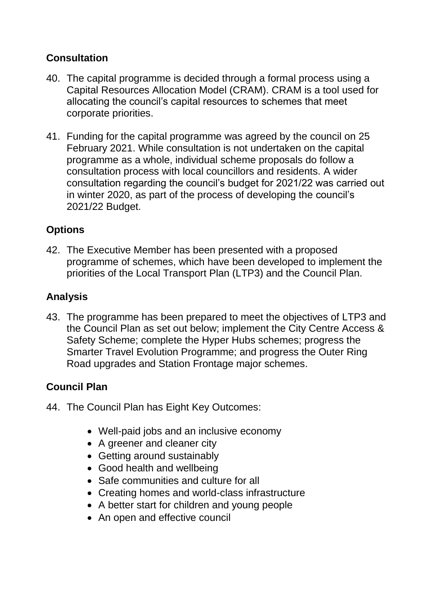# **Consultation**

- 40. The capital programme is decided through a formal process using a Capital Resources Allocation Model (CRAM). CRAM is a tool used for allocating the council's capital resources to schemes that meet corporate priorities.
- 41. Funding for the capital programme was agreed by the council on 25 February 2021. While consultation is not undertaken on the capital programme as a whole, individual scheme proposals do follow a consultation process with local councillors and residents. A wider consultation regarding the council's budget for 2021/22 was carried out in winter 2020, as part of the process of developing the council's 2021/22 Budget.

# **Options**

42. The Executive Member has been presented with a proposed programme of schemes, which have been developed to implement the priorities of the Local Transport Plan (LTP3) and the Council Plan.

# **Analysis**

43. The programme has been prepared to meet the objectives of LTP3 and the Council Plan as set out below; implement the City Centre Access & Safety Scheme; complete the Hyper Hubs schemes; progress the Smarter Travel Evolution Programme; and progress the Outer Ring Road upgrades and Station Frontage major schemes.

# **Council Plan**

- 44. The Council Plan has Eight Key Outcomes:
	- Well-paid jobs and an inclusive economy
	- A greener and cleaner city
	- Getting around sustainably
	- Good health and wellbeing
	- Safe communities and culture for all
	- Creating homes and world-class infrastructure
	- A better start for children and young people
	- An open and effective council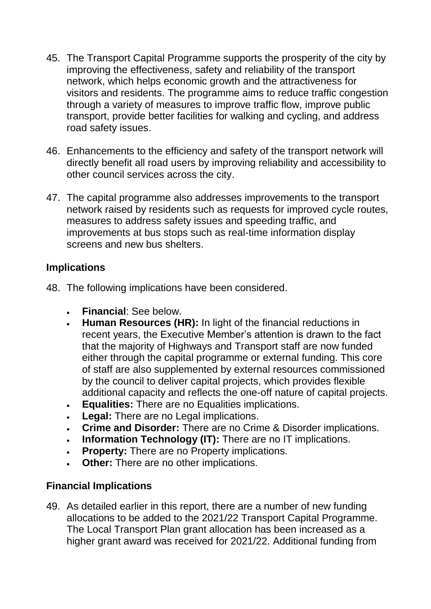- 45. The Transport Capital Programme supports the prosperity of the city by improving the effectiveness, safety and reliability of the transport network, which helps economic growth and the attractiveness for visitors and residents. The programme aims to reduce traffic congestion through a variety of measures to improve traffic flow, improve public transport, provide better facilities for walking and cycling, and address road safety issues.
- 46. Enhancements to the efficiency and safety of the transport network will directly benefit all road users by improving reliability and accessibility to other council services across the city.
- 47. The capital programme also addresses improvements to the transport network raised by residents such as requests for improved cycle routes, measures to address safety issues and speeding traffic, and improvements at bus stops such as real-time information display screens and new bus shelters.

## **Implications**

- 48. The following implications have been considered.
	- **Financial**: See below.
	- **Human Resources (HR):** In light of the financial reductions in recent years, the Executive Member's attention is drawn to the fact that the majority of Highways and Transport staff are now funded either through the capital programme or external funding. This core of staff are also supplemented by external resources commissioned by the council to deliver capital projects, which provides flexible additional capacity and reflects the one-off nature of capital projects.
	- **Equalities:** There are no Equalities implications.
	- **Legal:** There are no Legal implications.
	- **Crime and Disorder:** There are no Crime & Disorder implications.
	- **Information Technology (IT):** There are no IT implications.
	- **Property:** There are no Property implications.
	- **Other:** There are no other implications.

# **Financial Implications**

49. As detailed earlier in this report, there are a number of new funding allocations to be added to the 2021/22 Transport Capital Programme. The Local Transport Plan grant allocation has been increased as a higher grant award was received for 2021/22. Additional funding from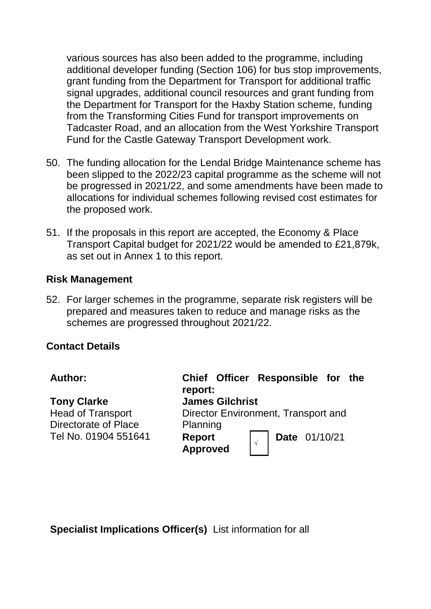various sources has also been added to the programme, including additional developer funding (Section 106) for bus stop improvements, grant funding from the Department for Transport for additional traffic signal upgrades, additional council resources and grant funding from the Department for Transport for the Haxby Station scheme, funding from the Transforming Cities Fund for transport improvements on Tadcaster Road, and an allocation from the West Yorkshire Transport Fund for the Castle Gateway Transport Development work.

- 50. The funding allocation for the Lendal Bridge Maintenance scheme has been slipped to the 2022/23 capital programme as the scheme will not be progressed in 2021/22, and some amendments have been made to allocations for individual schemes following revised cost estimates for the proposed work.
- 51. If the proposals in this report are accepted, the Economy & Place Transport Capital budget for 2021/22 would be amended to £21,879k, as set out in Annex 1 to this report.

#### **Risk Management**

52. For larger schemes in the programme, separate risk registers will be prepared and measures taken to reduce and manage risks as the schemes are progressed throughout 2021/22.

#### **Contact Details**

| <b>Author:</b>                                                                                        | Chief Officer Responsible for the<br>report:                                                                                                   |
|-------------------------------------------------------------------------------------------------------|------------------------------------------------------------------------------------------------------------------------------------------------|
| <b>Tony Clarke</b><br><b>Head of Transport</b><br><b>Directorate of Place</b><br>Tel No. 01904 551641 | <b>James Gilchrist</b><br>Director Environment, Transport and<br>Planning<br>$\vert \sqrt{ } \vert$ Date 01/10/21<br>Report<br><b>Approved</b> |

**Specialist Implications Officer(s)** List information for all